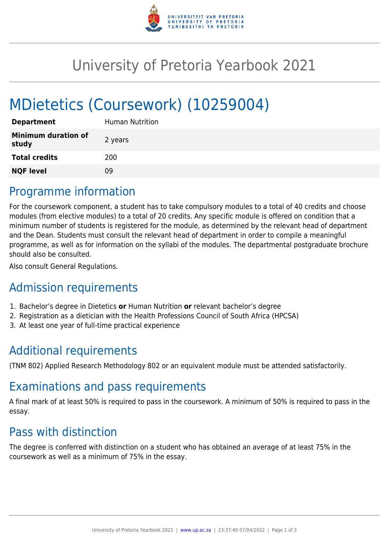

# University of Pretoria Yearbook 2021

# MDietetics (Coursework) (10259004)

| <b>Department</b>                   | Human Nutrition |
|-------------------------------------|-----------------|
| <b>Minimum duration of</b><br>study | 2 years         |
| <b>Total credits</b>                | 200             |
| <b>NQF level</b>                    | 09              |

## Programme information

For the coursework component, a student has to take compulsory modules to a total of 40 credits and choose modules (from elective modules) to a total of 20 credits. Any specific module is offered on condition that a minimum number of students is registered for the module, as determined by the relevant head of department and the Dean. Students must consult the relevant head of department in order to compile a meaningful programme, as well as for information on the syllabi of the modules. The departmental postgraduate brochure should also be consulted.

Also consult General Regulations.

# Admission requirements

- 1. Bachelor's degree in Dietetics **or** Human Nutrition **or** relevant bachelor's degree
- 2. Registration as a dietician with the Health Professions Council of South Africa (HPCSA)
- 3. At least one year of full-time practical experience

# Additional requirements

(TNM 802) Applied Research Methodology 802 or an equivalent module must be attended satisfactorily.

### Examinations and pass requirements

A final mark of at least 50% is required to pass in the coursework. A minimum of 50% is required to pass in the essay.

# Pass with distinction

The degree is conferred with distinction on a student who has obtained an average of at least 75% in the coursework as well as a minimum of 75% in the essay.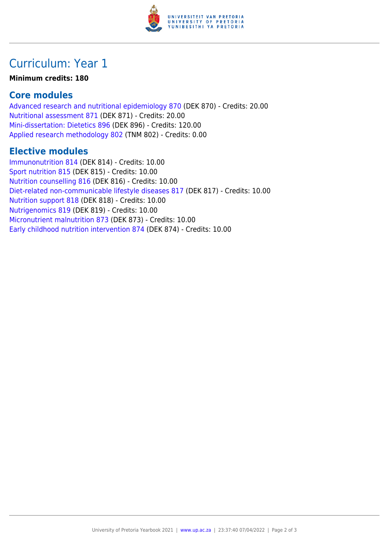

## Curriculum: Year 1

#### **Minimum credits: 180**

### **Core modules**

[Advanced research and nutritional epidemiology 870](https://www.up.ac.za/faculty-of-education/yearbooks/2021/modules/view/DEK 870) (DEK 870) - Credits: 20.00 [Nutritional assessment 871](https://www.up.ac.za/faculty-of-education/yearbooks/2021/modules/view/DEK 871) (DEK 871) - Credits: 20.00 [Mini-dissertation: Dietetics 896](https://www.up.ac.za/faculty-of-education/yearbooks/2021/modules/view/DEK 896) (DEK 896) - Credits: 120.00 [Applied research methodology 802](https://www.up.ac.za/faculty-of-education/yearbooks/2021/modules/view/TNM 802) (TNM 802) - Credits: 0.00

### **Elective modules**

[Immunonutrition 814](https://www.up.ac.za/faculty-of-education/yearbooks/2021/modules/view/DEK 814) (DEK 814) - Credits: 10.00 [Sport nutrition 815](https://www.up.ac.za/faculty-of-education/yearbooks/2021/modules/view/DEK 815) (DEK 815) - Credits: 10.00 [Nutrition counselling 816](https://www.up.ac.za/faculty-of-education/yearbooks/2021/modules/view/DEK 816) (DEK 816) - Credits: 10.00 [Diet-related non-communicable lifestyle diseases 817](https://www.up.ac.za/faculty-of-education/yearbooks/2021/modules/view/DEK 817) (DEK 817) - Credits: 10.00 [Nutrition support 818](https://www.up.ac.za/faculty-of-education/yearbooks/2021/modules/view/DEK 818) (DEK 818) - Credits: 10.00 [Nutrigenomics 819](https://www.up.ac.za/faculty-of-education/yearbooks/2021/modules/view/DEK 819) (DEK 819) - Credits: 10.00 [Micronutrient malnutrition 873](https://www.up.ac.za/faculty-of-education/yearbooks/2021/modules/view/DEK 873) (DEK 873) - Credits: 10.00 [Early childhood nutrition intervention 874](https://www.up.ac.za/faculty-of-education/yearbooks/2021/modules/view/DEK 874) (DEK 874) - Credits: 10.00